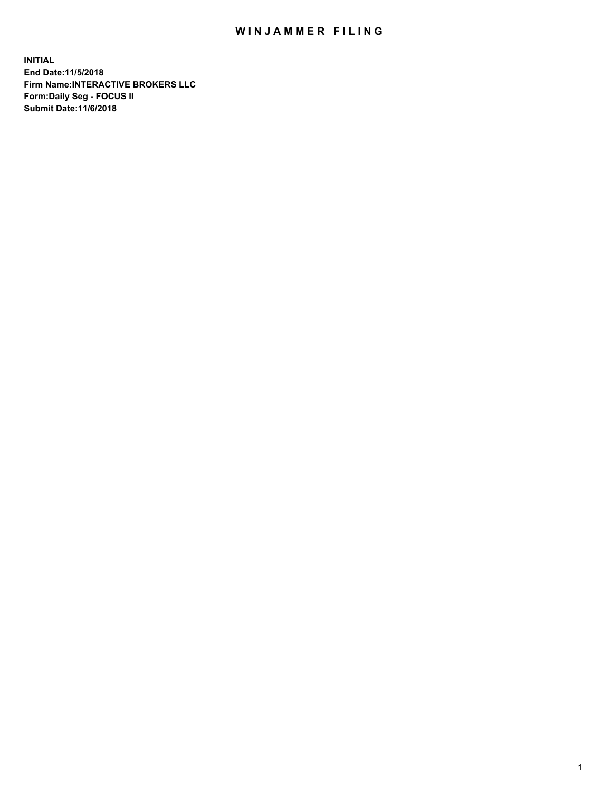## WIN JAMMER FILING

**INITIAL End Date:11/5/2018 Firm Name:INTERACTIVE BROKERS LLC Form:Daily Seg - FOCUS II Submit Date:11/6/2018**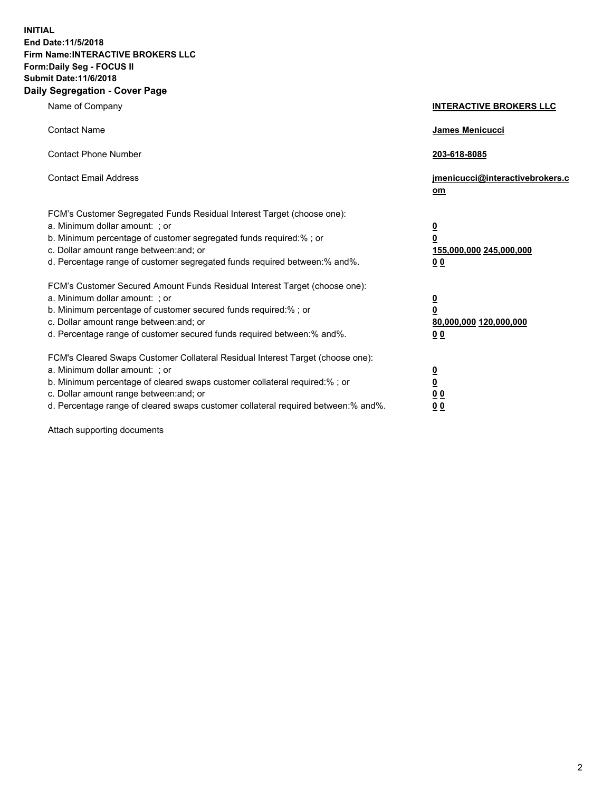**INITIAL End Date:11/5/2018 Firm Name:INTERACTIVE BROKERS LLC Form:Daily Seg - FOCUS II Submit Date:11/6/2018 Daily Segregation - Cover Page**

| Name of Company                                                                                                                                                                                                                                                                                                                | <b>INTERACTIVE BROKERS LLC</b>                                                                  |
|--------------------------------------------------------------------------------------------------------------------------------------------------------------------------------------------------------------------------------------------------------------------------------------------------------------------------------|-------------------------------------------------------------------------------------------------|
| <b>Contact Name</b>                                                                                                                                                                                                                                                                                                            | James Menicucci                                                                                 |
| <b>Contact Phone Number</b>                                                                                                                                                                                                                                                                                                    | 203-618-8085                                                                                    |
| <b>Contact Email Address</b>                                                                                                                                                                                                                                                                                                   | jmenicucci@interactivebrokers.c<br>om                                                           |
| FCM's Customer Segregated Funds Residual Interest Target (choose one):<br>a. Minimum dollar amount: ; or<br>b. Minimum percentage of customer segregated funds required:% ; or<br>c. Dollar amount range between: and; or<br>d. Percentage range of customer segregated funds required between:% and%.                         | $\overline{\mathbf{0}}$<br>$\overline{\mathbf{0}}$<br>155,000,000 245,000,000<br>0 <sub>0</sub> |
| FCM's Customer Secured Amount Funds Residual Interest Target (choose one):<br>a. Minimum dollar amount: ; or<br>b. Minimum percentage of customer secured funds required:% ; or<br>c. Dollar amount range between: and; or<br>d. Percentage range of customer secured funds required between:% and%.                           | $\overline{\mathbf{0}}$<br>0<br>80,000,000 120,000,000<br>0 <sub>0</sub>                        |
| FCM's Cleared Swaps Customer Collateral Residual Interest Target (choose one):<br>a. Minimum dollar amount: ; or<br>b. Minimum percentage of cleared swaps customer collateral required:% ; or<br>c. Dollar amount range between: and; or<br>d. Percentage range of cleared swaps customer collateral required between:% and%. | $\overline{\mathbf{0}}$<br><u>0</u><br>$\underline{0}$ $\underline{0}$<br>00                    |

Attach supporting documents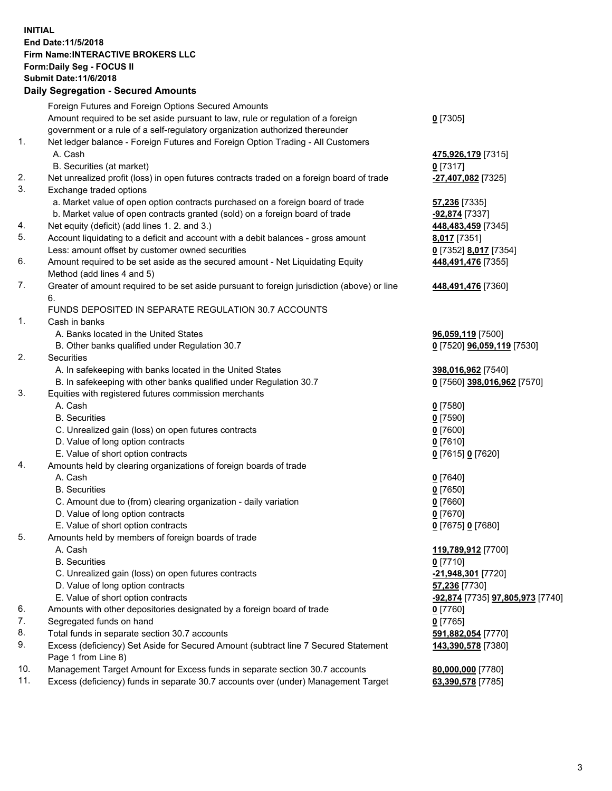## **INITIAL End Date:11/5/2018 Firm Name:INTERACTIVE BROKERS LLC Form:Daily Seg - FOCUS II Submit Date:11/6/2018 Daily Segregation - Secured Amounts**

|     | Daily Segregation - Secured Amounts                                                                        |                                                |
|-----|------------------------------------------------------------------------------------------------------------|------------------------------------------------|
|     | Foreign Futures and Foreign Options Secured Amounts                                                        |                                                |
|     | Amount required to be set aside pursuant to law, rule or regulation of a foreign                           | $0$ [7305]                                     |
|     | government or a rule of a self-regulatory organization authorized thereunder                               |                                                |
| 1.  | Net ledger balance - Foreign Futures and Foreign Option Trading - All Customers                            |                                                |
|     | A. Cash                                                                                                    | 475,926,179 [7315]                             |
|     | B. Securities (at market)                                                                                  | $0$ [7317]                                     |
| 2.  | Net unrealized profit (loss) in open futures contracts traded on a foreign board of trade                  | -27,407,082 [7325]                             |
| 3.  | Exchange traded options                                                                                    |                                                |
|     | a. Market value of open option contracts purchased on a foreign board of trade                             | 57,236 [7335]                                  |
|     | b. Market value of open contracts granted (sold) on a foreign board of trade                               | -92,874 [7337]                                 |
| 4.  | Net equity (deficit) (add lines 1. 2. and 3.)                                                              | 448,483,459 [7345]                             |
| 5.  | Account liquidating to a deficit and account with a debit balances - gross amount                          | 8,017 [7351]                                   |
|     | Less: amount offset by customer owned securities                                                           | 0 [7352] 8,017 [7354]                          |
| 6.  | Amount required to be set aside as the secured amount - Net Liquidating Equity                             | 448,491,476 [7355]                             |
|     | Method (add lines 4 and 5)                                                                                 |                                                |
| 7.  | Greater of amount required to be set aside pursuant to foreign jurisdiction (above) or line                | 448,491,476 [7360]                             |
|     | 6.<br>FUNDS DEPOSITED IN SEPARATE REGULATION 30.7 ACCOUNTS                                                 |                                                |
| 1.  | Cash in banks                                                                                              |                                                |
|     | A. Banks located in the United States                                                                      | 96,059,119 [7500]                              |
|     | B. Other banks qualified under Regulation 30.7                                                             | 0 [7520] 96,059,119 [7530]                     |
| 2.  | Securities                                                                                                 |                                                |
|     | A. In safekeeping with banks located in the United States                                                  | 398,016,962 [7540]                             |
|     | B. In safekeeping with other banks qualified under Regulation 30.7                                         | 0 [7560] 398,016,962 [7570]                    |
| 3.  | Equities with registered futures commission merchants                                                      |                                                |
|     | A. Cash                                                                                                    | $0$ [7580]                                     |
|     | <b>B.</b> Securities                                                                                       | $0$ [7590]                                     |
|     | C. Unrealized gain (loss) on open futures contracts                                                        | $0$ [7600]                                     |
|     | D. Value of long option contracts                                                                          | $0$ [7610]                                     |
|     | E. Value of short option contracts                                                                         | 0 [7615] 0 [7620]                              |
| 4.  | Amounts held by clearing organizations of foreign boards of trade                                          |                                                |
|     | A. Cash                                                                                                    | $0$ [7640]                                     |
|     | <b>B.</b> Securities                                                                                       | $0$ [7650]                                     |
|     | C. Amount due to (from) clearing organization - daily variation                                            | $0$ [7660]                                     |
|     | D. Value of long option contracts                                                                          | $0$ [7670]                                     |
|     | E. Value of short option contracts                                                                         | 0 [7675] 0 [7680]                              |
| 5.  | Amounts held by members of foreign boards of trade                                                         |                                                |
|     | A. Cash                                                                                                    | 119,789,912 [7700]                             |
|     | <b>B.</b> Securities                                                                                       | $0$ [7710]                                     |
|     | C. Unrealized gain (loss) on open futures contracts                                                        | -21,948,301 [7720]                             |
|     | D. Value of long option contracts                                                                          | 57,236 [7730]                                  |
|     | E. Value of short option contracts                                                                         | <u>-92,874</u> [7735] <u>97,805,973</u> [7740] |
| 6.  | Amounts with other depositories designated by a foreign board of trade                                     | 0 [7760]                                       |
| 7.  | Segregated funds on hand                                                                                   | $0$ [7765]                                     |
| 8.  | Total funds in separate section 30.7 accounts                                                              | 591,882,054 [7770]                             |
| 9.  | Excess (deficiency) Set Aside for Secured Amount (subtract line 7 Secured Statement<br>Page 1 from Line 8) | 143,390,578 [7380]                             |
| 10. | Management Target Amount for Excess funds in separate section 30.7 accounts                                | 80,000,000 [7780]                              |
| 11. | Excess (deficiency) funds in separate 30.7 accounts over (under) Management Target                         | 63,390,578 [7785]                              |
|     |                                                                                                            |                                                |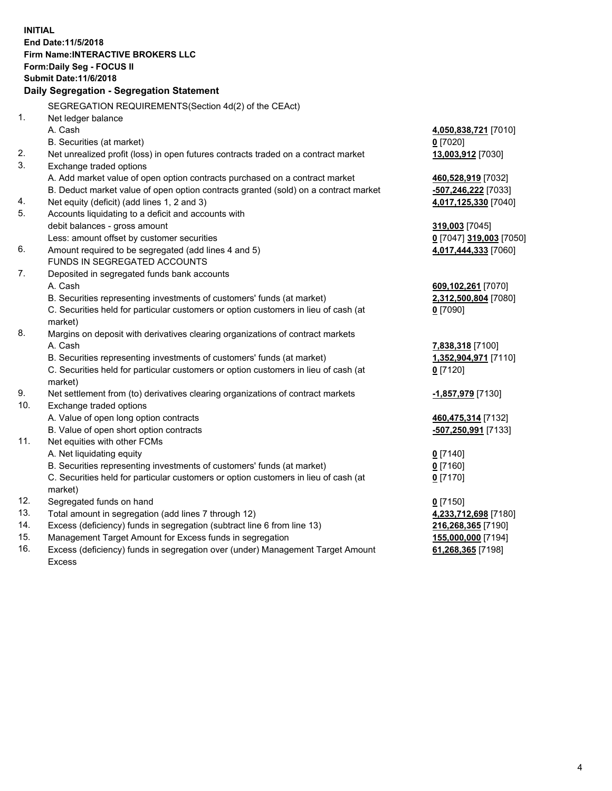**INITIAL End Date:11/5/2018 Firm Name:INTERACTIVE BROKERS LLC Form:Daily Seg - FOCUS II Submit Date:11/6/2018 Daily Segregation - Segregation Statement** SEGREGATION REQUIREMENTS(Section 4d(2) of the CEAct) 1. Net ledger balance A. Cash **4,050,838,721** [7010] B. Securities (at market) **0** [7020] 2. Net unrealized profit (loss) in open futures contracts traded on a contract market **13,003,912** [7030] 3. Exchange traded options A. Add market value of open option contracts purchased on a contract market **460,528,919** [7032] B. Deduct market value of open option contracts granted (sold) on a contract market **-507,246,222** [7033] 4. Net equity (deficit) (add lines 1, 2 and 3) **4,017,125,330** [7040] 5. Accounts liquidating to a deficit and accounts with debit balances - gross amount **319,003** [7045] Less: amount offset by customer securities **0** [7047] **319,003** [7050] 6. Amount required to be segregated (add lines 4 and 5) **4,017,444,333** [7060] FUNDS IN SEGREGATED ACCOUNTS 7. Deposited in segregated funds bank accounts A. Cash **609,102,261** [7070] B. Securities representing investments of customers' funds (at market) **2,312,500,804** [7080] C. Securities held for particular customers or option customers in lieu of cash (at market) **0** [7090] 8. Margins on deposit with derivatives clearing organizations of contract markets A. Cash **7,838,318** [7100] B. Securities representing investments of customers' funds (at market) **1,352,904,971** [7110] C. Securities held for particular customers or option customers in lieu of cash (at market) **0** [7120] 9. Net settlement from (to) derivatives clearing organizations of contract markets **-1,857,979** [7130] 10. Exchange traded options A. Value of open long option contracts **460,475,314** [7132] B. Value of open short option contracts **-507,250,991** [7133] 11. Net equities with other FCMs A. Net liquidating equity **0** [7140] B. Securities representing investments of customers' funds (at market) **0** [7160] C. Securities held for particular customers or option customers in lieu of cash (at market) **0** [7170] 12. Segregated funds on hand **0** [7150] 13. Total amount in segregation (add lines 7 through 12) **4,233,712,698** [7180] 14. Excess (deficiency) funds in segregation (subtract line 6 from line 13) **216,268,365** [7190] 15. Management Target Amount for Excess funds in segregation **155,000,000** [7194] **61,268,365** [7198]

16. Excess (deficiency) funds in segregation over (under) Management Target Amount Excess